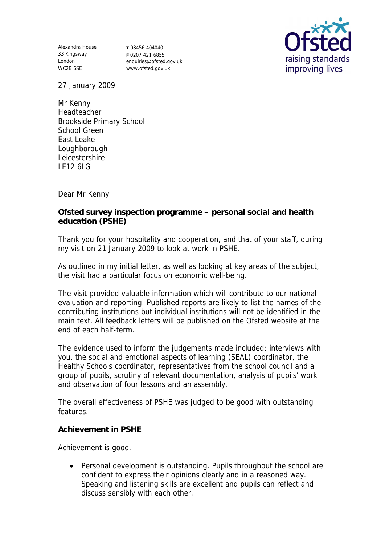Alexandra House 33 Kingsway London WC2B 6SE

**T** 08456 404040 **F** 0207 421 6855 enquiries@ofsted.gov.uk www.ofsted.gov.uk



27 January 2009

Mr Kenny Headteacher Brookside Primary School School Green East Leake Loughborough Leicestershire LE12 6LG

Dear Mr Kenny

**Ofsted survey inspection programme – personal social and health education (PSHE)**

Thank you for your hospitality and cooperation, and that of your staff, during my visit on 21 January 2009 to look at work in PSHE.

As outlined in my initial letter, as well as looking at key areas of the subject, the visit had a particular focus on economic well-being.

The visit provided valuable information which will contribute to our national evaluation and reporting. Published reports are likely to list the names of the contributing institutions but individual institutions will not be identified in the main text. All feedback letters will be published on the Ofsted website at the end of each half-term.

The evidence used to inform the judgements made included: interviews with you, the social and emotional aspects of learning (SEAL) coordinator, the Healthy Schools coordinator, representatives from the school council and a group of pupils, scrutiny of relevant documentation, analysis of pupils' work and observation of four lessons and an assembly.

The overall effectiveness of PSHE was judged to be good with outstanding features.

**Achievement in PSHE**

Achievement is good.

 Personal development is outstanding. Pupils throughout the school are confident to express their opinions clearly and in a reasoned way. Speaking and listening skills are excellent and pupils can reflect and discuss sensibly with each other.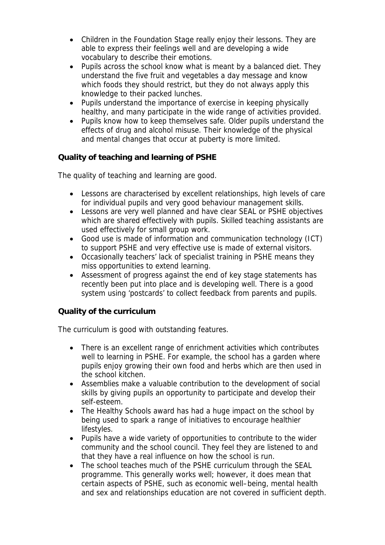- Children in the Foundation Stage really enjoy their lessons. They are able to express their feelings well and are developing a wide vocabulary to describe their emotions.
- Pupils across the school know what is meant by a balanced diet. They understand the five fruit and vegetables a day message and know which foods they should restrict, but they do not always apply this knowledge to their packed lunches.
- Pupils understand the importance of exercise in keeping physically healthy, and many participate in the wide range of activities provided.
- Pupils know how to keep themselves safe. Older pupils understand the effects of drug and alcohol misuse. Their knowledge of the physical and mental changes that occur at puberty is more limited.

**Quality of teaching and learning of PSHE**

The quality of teaching and learning are good.

- Lessons are characterised by excellent relationships, high levels of care for individual pupils and very good behaviour management skills.
- Lessons are very well planned and have clear SEAL or PSHE objectives which are shared effectively with pupils. Skilled teaching assistants are used effectively for small group work.
- Good use is made of information and communication technology (ICT) to support PSHE and very effective use is made of external visitors.
- Occasionally teachers' lack of specialist training in PSHE means they miss opportunities to extend learning.
- Assessment of progress against the end of key stage statements has recently been put into place and is developing well. There is a good system using 'postcards' to collect feedback from parents and pupils.

## **Quality of the curriculum**

The curriculum is good with outstanding features.

- There is an excellent range of enrichment activities which contributes well to learning in PSHE. For example, the school has a garden where pupils enjoy growing their own food and herbs which are then used in the school kitchen.
- Assemblies make a valuable contribution to the development of social skills by giving pupils an opportunity to participate and develop their self-esteem.
- The Healthy Schools award has had a huge impact on the school by being used to spark a range of initiatives to encourage healthier lifestyles.
- Pupils have a wide variety of opportunities to contribute to the wider community and the school council. They feel they are listened to and that they have a real influence on how the school is run.
- The school teaches much of the PSHE curriculum through the SEAL programme. This generally works well; however, it does mean that certain aspects of PSHE, such as economic well–being, mental health and sex and relationships education are not covered in sufficient depth.